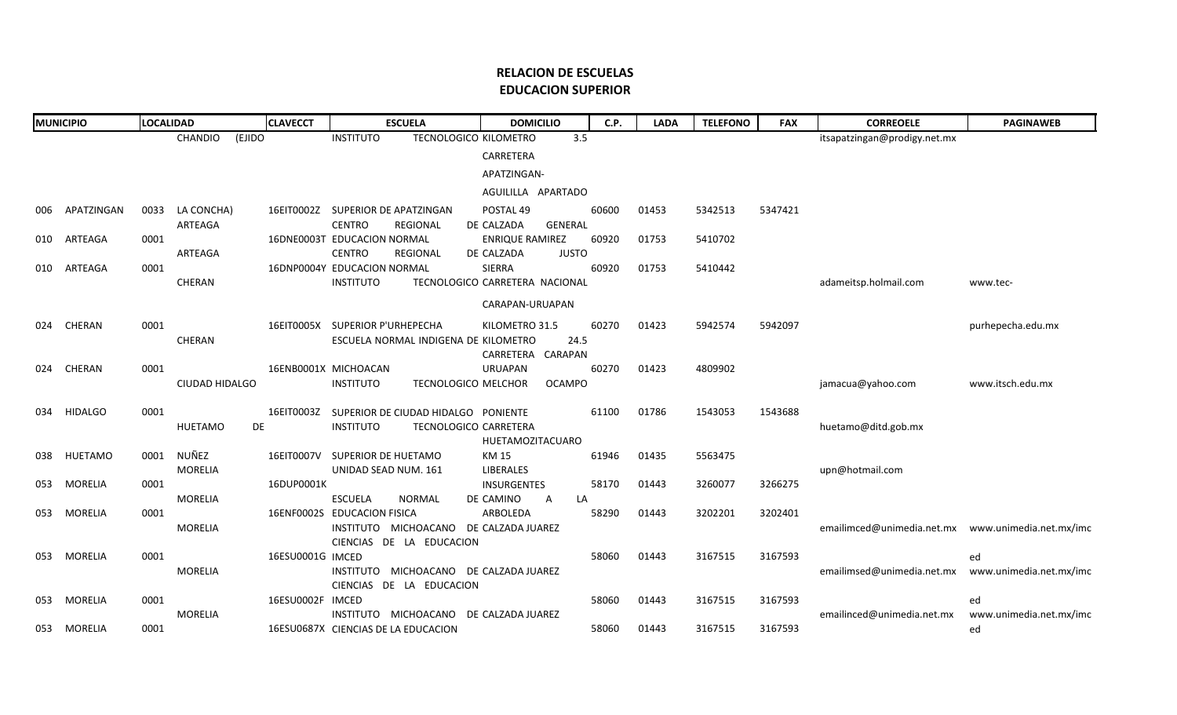## **RELACION DE ESCUELAS EDUCACION SUPERIOR**

| <b>MUNICIPIO</b> |                | <b>LOCALIDAD</b> |                   | <b>CLAVECCT</b>  | <b>ESCUELA</b>                          | <b>DOMICILIO</b>               | C.P.  | <b>LADA</b> | <b>TELEFONO</b> | <b>FAX</b> | <b>CORREOELE</b>                                    | <b>PAGINAWEB</b>              |
|------------------|----------------|------------------|-------------------|------------------|-----------------------------------------|--------------------------------|-------|-------------|-----------------|------------|-----------------------------------------------------|-------------------------------|
|                  |                |                  | CHANDIO<br>(EJIDO |                  | <b>INSTITUTO</b>                        | TECNOLOGICO KILOMETRO<br>3.5   |       |             |                 |            | itsapatzingan@prodigy.net.mx                        |                               |
|                  |                |                  |                   |                  |                                         | CARRETERA                      |       |             |                 |            |                                                     |                               |
|                  |                |                  |                   |                  |                                         | APATZINGAN-                    |       |             |                 |            |                                                     |                               |
|                  |                |                  |                   |                  |                                         | AGUILILLA APARTADO             |       |             |                 |            |                                                     |                               |
| 006              | APATZINGAN     | 0033             | LA CONCHA)        |                  | 16EIT0002Z SUPERIOR DE APATZINGAN       | POSTAL 49                      | 60600 | 01453       | 5342513         | 5347421    |                                                     |                               |
|                  |                |                  | ARTEAGA           |                  | <b>CENTRO</b><br><b>REGIONAL</b>        | DE CALZADA<br><b>GENERAL</b>   |       |             |                 |            |                                                     |                               |
| 010              | ARTEAGA        | 0001             |                   |                  | 16DNE0003T EDUCACION NORMAL             | <b>ENRIQUE RAMIREZ</b>         | 60920 | 01753       | 5410702         |            |                                                     |                               |
|                  |                |                  | ARTEAGA           |                  | <b>CENTRO</b><br><b>REGIONAL</b>        | <b>JUSTO</b><br>DE CALZADA     |       |             |                 |            |                                                     |                               |
| 010              | ARTEAGA        | 0001             |                   |                  | 16DNP0004Y EDUCACION NORMAL             | <b>SIERRA</b>                  | 60920 | 01753       | 5410442         |            |                                                     |                               |
|                  |                |                  | CHERAN            |                  | <b>INSTITUTO</b>                        | TECNOLOGICO CARRETERA NACIONAL |       |             |                 |            | adameitsp.holmail.com                               | www.tec-                      |
|                  |                |                  |                   |                  |                                         | CARAPAN-URUAPAN                |       |             |                 |            |                                                     |                               |
| 024              | CHERAN         | 0001             |                   |                  | 16EIT0005X SUPERIOR P'URHEPECHA         | KILOMETRO 31.5                 | 60270 | 01423       | 5942574         | 5942097    |                                                     | purhepecha.edu.mx             |
|                  |                |                  | CHERAN            |                  | ESCUELA NORMAL INDIGENA DE KILOMETRO    | 24.5                           |       |             |                 |            |                                                     |                               |
|                  |                |                  |                   |                  |                                         | CARRETERA CARAPAN              |       |             |                 |            |                                                     |                               |
| 024              | CHERAN         | 0001             |                   |                  | 16ENB0001X MICHOACAN                    | <b>URUAPAN</b>                 | 60270 | 01423       | 4809902         |            |                                                     |                               |
|                  |                |                  | CIUDAD HIDALGO    |                  | <b>INSTITUTO</b><br>TECNOLOGICO MELCHOR | <b>OCAMPO</b>                  |       |             |                 |            | jamacua@yahoo.com                                   | www.itsch.edu.mx              |
|                  |                |                  |                   | 16EIT0003Z       | SUPERIOR DE CIUDAD HIDALGO PONIENTE     |                                | 61100 | 01786       | 1543053         | 1543688    |                                                     |                               |
| 034              | <b>HIDALGO</b> | 0001             | HUETAMO<br>DE     |                  | <b>INSTITUTO</b>                        | TECNOLOGICO CARRETERA          |       |             |                 |            | huetamo@ditd.gob.mx                                 |                               |
|                  |                |                  |                   |                  |                                         | <b>HUETAMOZITACUARO</b>        |       |             |                 |            |                                                     |                               |
| 038              | HUETAMO        | 0001             | NUÑEZ             |                  | 16EIT0007V SUPERIOR DE HUETAMO          | KM 15                          | 61946 | 01435       | 5563475         |            |                                                     |                               |
|                  |                |                  | <b>MORELIA</b>    |                  | UNIDAD SEAD NUM. 161                    | <b>LIBERALES</b>               |       |             |                 |            | upn@hotmail.com                                     |                               |
| 053              | MORELIA        | 0001             |                   | 16DUP0001K       |                                         | <b>INSURGENTES</b>             | 58170 | 01443       | 3260077         | 3266275    |                                                     |                               |
|                  |                |                  | <b>MORELIA</b>    |                  | <b>NORMAL</b><br><b>ESCUELA</b>         | DE CAMINO<br>LA<br>A           |       |             |                 |            |                                                     |                               |
| 053              | <b>MORELIA</b> | 0001             |                   |                  | 16ENF0002S EDUCACION FISICA             | ARBOLEDA                       | 58290 | 01443       | 3202201         | 3202401    |                                                     |                               |
|                  |                |                  | <b>MORELIA</b>    |                  | INSTITUTO MICHOACANO DE CALZADA JUAREZ  |                                |       |             |                 |            | emailimced@unimedia.net.mx  www.unimedia.net.mx/imc |                               |
| 053              | MORELIA        | 0001             |                   | 16ESU0001G IMCED | CIENCIAS DE LA EDUCACION                |                                | 58060 | 01443       | 3167515         | 3167593    |                                                     |                               |
|                  |                |                  | <b>MORELIA</b>    |                  | INSTITUTO                               | MICHOACANO DE CALZADA JUAREZ   |       |             |                 |            | emailimsed@unimedia.net.mx                          | ed<br>www.unimedia.net.mx/imc |
|                  |                |                  |                   |                  | CIENCIAS DE LA EDUCACION                |                                |       |             |                 |            |                                                     |                               |
| 053              | MORELIA        | 0001             |                   | 16ESU0002F IMCED |                                         |                                | 58060 | 01443       | 3167515         | 3167593    |                                                     | ed                            |
|                  |                |                  | <b>MORELIA</b>    |                  | INSTITUTO MICHOACANO DE CALZADA JUAREZ  |                                |       |             |                 |            | emailinced@unimedia.net.mx                          | www.unimedia.net.mx/imc       |
| 053              | MORELIA        | 0001             |                   |                  | 16ESU0687X CIENCIAS DE LA EDUCACION     |                                | 58060 | 01443       | 3167515         | 3167593    |                                                     | ed                            |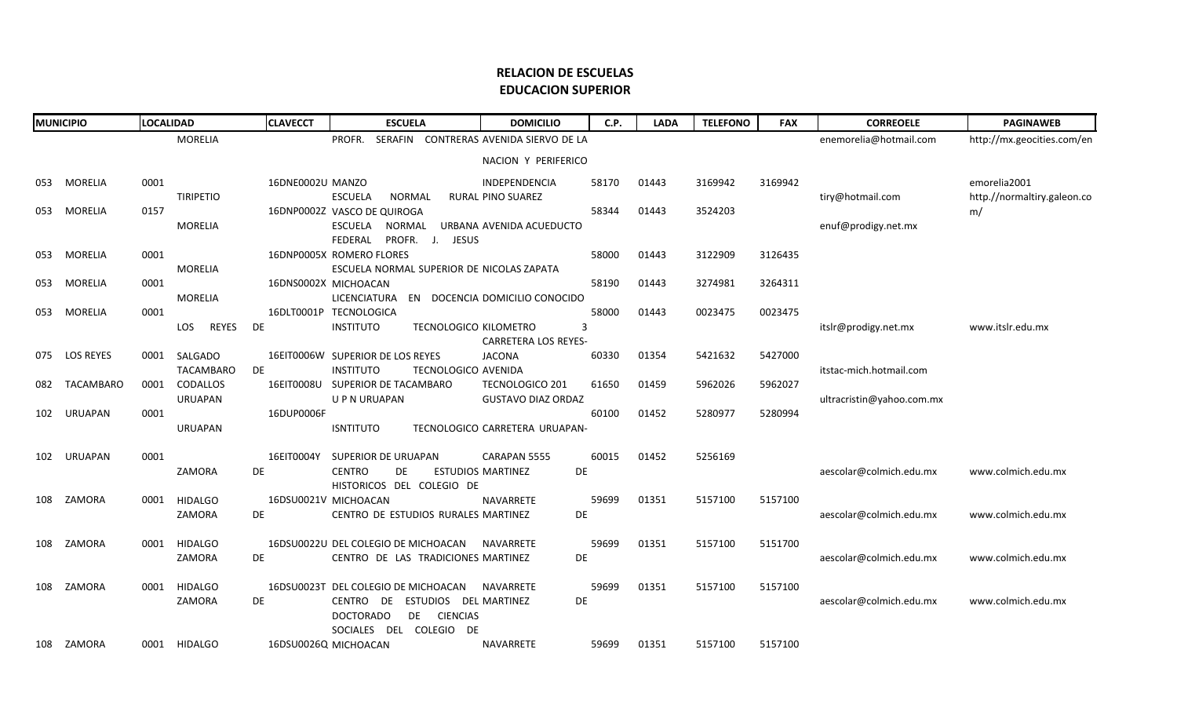## **RELACION DE ESCUELAS EDUCACION SUPERIOR**

| <b>MUNICIPIO</b> |                  | <b>LOCALIDAD</b> |                     | <b>CLAVECCT</b>  | <b>ESCUELA</b>                            |                              | <b>DOMICILIO</b>                       | C.P.      | <b>LADA</b> | <b>TELEFONO</b> | <b>FAX</b> | <b>CORREOELE</b>          | <b>PAGINAWEB</b>            |
|------------------|------------------|------------------|---------------------|------------------|-------------------------------------------|------------------------------|----------------------------------------|-----------|-------------|-----------------|------------|---------------------------|-----------------------------|
|                  |                  |                  | <b>MORELIA</b>      |                  | PROFR.                                    |                              | SERAFIN CONTRERAS AVENIDA SIERVO DE LA |           |             |                 |            | enemorelia@hotmail.com    | http://mx.geocities.com/en  |
|                  |                  |                  |                     |                  |                                           |                              | NACION Y PERIFERICO                    |           |             |                 |            |                           |                             |
| 053              | MORELIA          | 0001             |                     | 16DNE0002U MANZO |                                           |                              | INDEPENDENCIA                          | 58170     | 01443       | 3169942         | 3169942    |                           | emorelia2001                |
|                  |                  |                  | <b>TIRIPETIO</b>    |                  | <b>ESCUELA</b><br><b>NORMAL</b>           |                              | RURAL PINO SUAREZ                      |           |             |                 |            | tiry@hotmail.com          | http.//normaltiry.galeon.co |
| 053              | MORELIA          | 0157             |                     |                  | 16DNP0002Z VASCO DE QUIROGA               |                              |                                        | 58344     | 01443       | 3524203         |            |                           | m/                          |
|                  |                  |                  | <b>MORELIA</b>      |                  | ESCUELA<br>NORMAL                         |                              | URBANA AVENIDA ACUEDUCTO               |           |             |                 |            | enuf@prodigy.net.mx       |                             |
|                  |                  |                  |                     |                  | FEDERAL                                   | PROFR. J. JESUS              |                                        |           |             |                 |            |                           |                             |
| 053              | <b>MORELIA</b>   | 0001             |                     |                  | 16DNP0005X ROMERO FLORES                  |                              |                                        | 58000     | 01443       | 3122909         | 3126435    |                           |                             |
|                  |                  |                  | <b>MORELIA</b>      |                  | ESCUELA NORMAL SUPERIOR DE NICOLAS ZAPATA |                              |                                        |           |             |                 |            |                           |                             |
| 053              | MORELIA          | 0001             |                     |                  | 16DNS0002X MICHOACAN                      |                              |                                        | 58190     | 01443       | 3274981         | 3264311    |                           |                             |
|                  |                  |                  | <b>MORELIA</b>      |                  | LICENCIATURA                              |                              | EN DOCENCIA DOMICILIO CONOCIDO         |           |             |                 |            |                           |                             |
| 053              | MORELIA          | 0001             |                     |                  | 16DLT0001P TECNOLOGICA                    |                              |                                        | 58000     | 01443       | 0023475         | 0023475    |                           |                             |
|                  |                  |                  | <b>REYES</b><br>LOS | DE               | <b>INSTITUTO</b>                          | <b>TECNOLOGICO KILOMETRO</b> | <b>CARRETERA LOS REYES-</b>            | 3         |             |                 |            | itslr@prodigy.net.mx      | www.itslr.edu.mx            |
| 075              | <b>LOS REYES</b> | 0001             | SALGADO             |                  | 16EIT0006W SUPERIOR DE LOS REYES          |                              | <b>JACONA</b>                          | 60330     | 01354       | 5421632         | 5427000    |                           |                             |
|                  |                  |                  | TACAMBARO           | DE               | <b>INSTITUTO</b>                          | TECNOLOGICO AVENIDA          |                                        |           |             |                 |            | itstac-mich.hotmail.com   |                             |
| 082              | TACAMBARO        | 0001             | CODALLOS            |                  | 16EIT0008U SUPERIOR DE TACAMBARO          |                              | <b>TECNOLOGICO 201</b>                 | 61650     | 01459       | 5962026         | 5962027    |                           |                             |
|                  |                  |                  | <b>URUAPAN</b>      |                  | U P N URUAPAN                             |                              | <b>GUSTAVO DIAZ ORDAZ</b>              |           |             |                 |            | ultracristin@yahoo.com.mx |                             |
| 102              | <b>URUAPAN</b>   | 0001             |                     | 16DUP0006F       |                                           |                              |                                        | 60100     | 01452       | 5280977         | 5280994    |                           |                             |
|                  |                  |                  | <b>URUAPAN</b>      |                  | <b>ISNTITUTO</b>                          |                              | TECNOLOGICO CARRETERA URUAPAN-         |           |             |                 |            |                           |                             |
| 102              | URUAPAN          | 0001             |                     | 16EIT0004Y       | SUPERIOR DE URUAPAN                       |                              | CARAPAN 5555                           | 60015     | 01452       | 5256169         |            |                           |                             |
|                  |                  |                  | ZAMORA              | DE               | <b>CENTRO</b><br>DE.                      |                              | <b>ESTUDIOS MARTINEZ</b>               | <b>DE</b> |             |                 |            | aescolar@colmich.edu.mx   | www.colmich.edu.mx          |
|                  |                  |                  |                     |                  | HISTORICOS DEL COLEGIO DE                 |                              |                                        |           |             |                 |            |                           |                             |
| 108              | ZAMORA           | 0001             | <b>HIDALGO</b>      |                  | 16DSU0021V MICHOACAN                      |                              | <b>NAVARRETE</b>                       | 59699     | 01351       | 5157100         | 5157100    |                           |                             |
|                  |                  |                  | ZAMORA              | DE               | CENTRO DE ESTUDIOS RURALES MARTINEZ       |                              |                                        | DE        |             |                 |            | aescolar@colmich.edu.mx   | www.colmich.edu.mx          |
|                  |                  |                  |                     |                  |                                           |                              |                                        |           |             |                 |            |                           |                             |
| 108              | ZAMORA           | 0001             | <b>HIDALGO</b>      |                  | 16DSU0022U DEL COLEGIO DE MICHOACAN       |                              | NAVARRETE                              | 59699     | 01351       | 5157100         | 5151700    |                           |                             |
|                  |                  |                  | ZAMORA              | DE               | CENTRO DE LAS TRADICIONES MARTINEZ        |                              |                                        | DE        |             |                 |            | aescolar@colmich.edu.mx   | www.colmich.edu.mx          |
| 108              | ZAMORA           | 0001             | <b>HIDALGO</b>      |                  | 16DSU0023T DEL COLEGIO DE MICHOACAN       |                              | NAVARRETE                              | 59699     | 01351       | 5157100         | 5157100    |                           |                             |
|                  |                  |                  | ZAMORA              | DE               | CENTRO DE                                 | ESTUDIOS DEL MARTINEZ        |                                        | DE        |             |                 |            | aescolar@colmich.edu.mx   | www.colmich.edu.mx          |
|                  |                  |                  |                     |                  | <b>DOCTORADO</b>                          | DE<br><b>CIENCIAS</b>        |                                        |           |             |                 |            |                           |                             |
|                  |                  |                  |                     |                  | SOCIALES DEL COLEGIO                      | DE                           |                                        |           |             |                 |            |                           |                             |
|                  | 108 ZAMORA       |                  | 0001 HIDALGO        |                  | 16DSU0026Q MICHOACAN                      |                              | <b>NAVARRETE</b>                       | 59699     | 01351       | 5157100         | 5157100    |                           |                             |